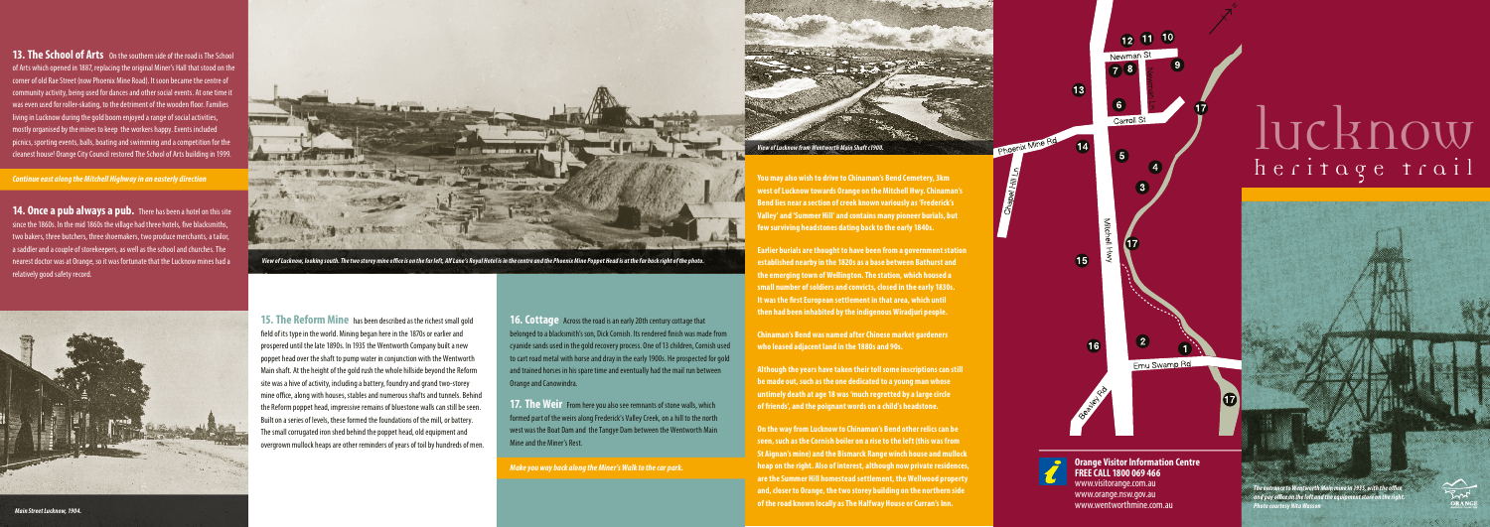**13. The School of Arts** On the southern side of the road is The School of Arts which opened in 1887, replacing the original Miner's Hall that stood on the corner of old Rae Street (now Phoenix Mine Road). It soon became the centre of community activity, being used for dances and other social events. At one time it was even used for roller-skating, to the detriment of the wooden floor. Families living in Lucknow during the gold boom enjoyed a range of social activities, mostly organised by the mines to keep the workers happy. Events included  $\vert$  picnics, sporting events, balls, boating and swimming and a competition for the cleanest house! Orange City Council restored The School of Arts building in 1999.

**14. Once a pub always a pub.** There has been a hotel on this site  $\frac{1}{2}$  since the 1860s. In the mid 1860s the village had three hotels, five blacksmiths, two bakers, three butchers, three shoemakers, two produce merchants, a tailor, a saddler and a couple of storekeepers, as well as the school and churches. The nearest doctor was at Orange, so it was fortunate that the Lucknow mines had a relatively good safety record.



*Continue east along the Mitchell Highway in an easterly direction*

**15. The Reform Mine** has been described as the richest small gold field of its type in the world. Mining began here in the 1870s or earlier and prospered until the late 1890s. In 1935 the Wentworth Company built a new poppet head over the shaft to pump water in conjunction with the Wentworth Main shaft. At the height of the gold rush the whole hillside beyond the Reform site was a hive of activity, including a battery, foundry and grand two-storey mine office, along with houses, stables and numerous shafts and tunnels. Behind the Reform poppet head, impressive remains of bluestone walls can still be seen. Built on a series of levels, these formed the foundations of the mill, or battery. The small corrugated iron shed behind the poppet head, old equipment and overgrown mullock heaps are other reminders of years of toil by hundreds of men.

**You may also wish to drive to Chinaman's Bend Cemetery, 3km west of Lucknow towards Orange on the Mitchell Hwy. Chinaman's Bend lies near a section of creek known variously as 'Frederick's Valley' and 'Summer Hill' and contains many pioneer burials, but few surviving headstones dating back to the early 1840s.**

**17. The Weir** From here you also see remnants of stone walls, which formed part of the weirs along Frederick's Valley Creek, on a hill to the north west was the Boat Dam and the Tangye Dam between the Wentworth Main Mine and the Miner's Rest.

**Earlier burials are thought to have been from a government station established nearby in the 1820s as a base between Bathurst and the emerging town of Wellington. The station, which housed a small number of soldiers and convicts, closed in the early 1830s. It was the first European settlement in that area, which until then had been inhabited by the indigenous Wiradjuri people.** 

**Chinaman's Bend was named after Chinese market gardeners who leased adjacent land in the 1880s and 90s.** 

**Although the years have taken their toll some inscriptions can still be made out, such as the one dedicated to a young man whose untimely death at age 18 was 'much regretted by a large circle of friends', and the poignant words on a child's headstone.** 

**15**  $\overline{2}$  $16$ Emu Swamp Rd



**On the way from Lucknow to Chinaman's Bend other relics can be seen, such as the Cornish boiler on a rise to the left (this was from St Aignan's mine) and the Bismarck Range winch house and mullock heap on the right. Also of interest, although now private residences, are the Summer Hill homestead settlement, the Wellwood property and, closer to Orange, the two storey building on the northern side of the road known locally as The Halfway House or Curran's Inn.** 

lucknow

heritage trail





*View of Lucknow, looking south. The two storey mine office is on the far left, Alf Lane's Royal Hotel is in the centre and the Phoenix Mine Poppet Head is at the far back right of the photo.* 



**Orange Visitor Information Centre FREE CALL 1800 069 466** www.visitorange.com.au www.orange.nsw.gov.au

12 11 10

Carroll St

www.wentworthmine.com.au

**16.Cottage** Across the road is an early 20th century cottage that belonged to a blacksmith's son, Dick Cornish. Its rendered finish was made from cyanide sands used in the gold recovery process. One of 13 children, Cornish used to cart road metal with horse and dray in the early 1900s. He prospected for gold and trained horses in his spare time and eventually had the mail run between Orange and Canowindra.

*Make you way back along the Miner's Walk to the car park.*

## *The entrance to Wentworth Main mine in 1935, with the office and pay office on the left and the equipment store on the right. Photo courtesy Nita Wasson*